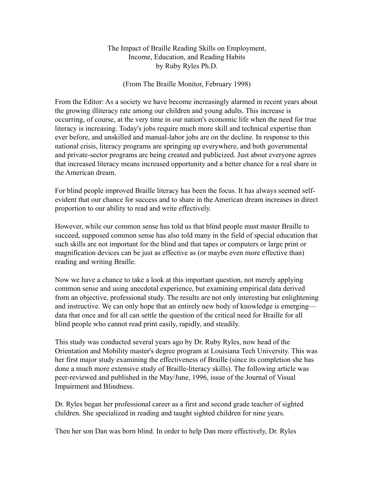# The Impact of Braille Reading Skills on Employment, Income, Education, and Reading Habits by Ruby Ryles Ph.D.

### (From The Braille Monitor, February 1998)

From the Editor: As a society we have become increasingly alarmed in recent years about the growing illiteracy rate among our children and young adults. This increase is occurring, of course, at the very time in our nation's economic life when the need for true literacy is increasing. Today's jobs require much more skill and technical expertise than ever before, and unskilled and manual-labor jobs are on the decline. In response to this national crisis, literacy programs are springing up everywhere, and both governmental and private-sector programs are being created and publicized. Just about everyone agrees that increased literacy means increased opportunity and a better chance for a real share in the American dream.

For blind people improved Braille literacy has been the focus. It has always seemed selfevident that our chance for success and to share in the American dream increases in direct proportion to our ability to read and write effectively.

However, while our common sense has told us that blind people must master Braille to succeed, supposed common sense has also told many in the field of special education that such skills are not important for the blind and that tapes or computers or large print or magnification devices can be just as effective as (or maybe even more effective than) reading and writing Braille.

Now we have a chance to take a look at this important question, not merely applying common sense and using anecdotal experience, but examining empirical data derived from an objective, professional study. The results are not only interesting but enlightening and instructive. We can only hope that an entirely new body of knowledge is emerging data that once and for all can settle the question of the critical need for Braille for all blind people who cannot read print easily, rapidly, and steadily.

This study was conducted several years ago by Dr. Ruby Ryles, now head of the Orientation and Mobility master's degree program at Louisiana Tech University. This was her first major study examining the effectiveness of Braille (since its completion she has done a much more extensive study of Braille-literacy skills). The following article was peer-reviewed and published in the May/June, 1996, issue of the Journal of Visual Impairment and Blindness.

Dr. Ryles began her professional career as a first and second grade teacher of sighted children. She specialized in reading and taught sighted children for nine years.

Then her son Dan was born blind. In order to help Dan more effectively, Dr. Ryles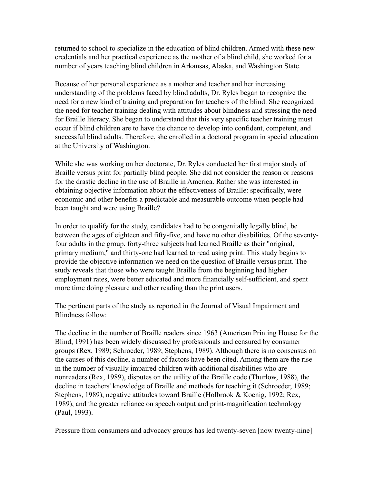returned to school to specialize in the education of blind children. Armed with these new credentials and her practical experience as the mother of a blind child, she worked for a number of years teaching blind children in Arkansas, Alaska, and Washington State.

Because of her personal experience as a mother and teacher and her increasing understanding of the problems faced by blind adults, Dr. Ryles began to recognize the need for a new kind of training and preparation for teachers of the blind. She recognized the need for teacher training dealing with attitudes about blindness and stressing the need for Braille literacy. She began to understand that this very specific teacher training must occur if blind children are to have the chance to develop into confident, competent, and successful blind adults. Therefore, she enrolled in a doctoral program in special education at the University of Washington.

While she was working on her doctorate, Dr. Ryles conducted her first major study of Braille versus print for partially blind people. She did not consider the reason or reasons for the drastic decline in the use of Braille in America. Rather she was interested in obtaining objective information about the effectiveness of Braille: specifically, were economic and other benefits a predictable and measurable outcome when people had been taught and were using Braille?

In order to qualify for the study, candidates had to be congenitally legally blind, be between the ages of eighteen and fifty-five, and have no other disabilities. Of the seventyfour adults in the group, forty-three subjects had learned Braille as their "original, primary medium," and thirty-one had learned to read using print. This study begins to provide the objective information we need on the question of Braille versus print. The study reveals that those who were taught Braille from the beginning had higher employment rates, were better educated and more financially self-sufficient, and spent more time doing pleasure and other reading than the print users.

The pertinent parts of the study as reported in the Journal of Visual Impairment and Blindness follow:

The decline in the number of Braille readers since 1963 (American Printing House for the Blind, 1991) has been widely discussed by professionals and censured by consumer groups (Rex, 1989; Schroeder, 1989; Stephens, 1989). Although there is no consensus on the causes of this decline, a number of factors have been cited. Among them are the rise in the number of visually impaired children with additional disabilities who are nonreaders (Rex, 1989), disputes on the utility of the Braille code (Thurlow, 1988), the decline in teachers' knowledge of Braille and methods for teaching it (Schroeder, 1989; Stephens, 1989), negative attitudes toward Braille (Holbrook & Koenig, 1992; Rex, 1989), and the greater reliance on speech output and print-magnification technology (Paul, 1993).

Pressure from consumers and advocacy groups has led twenty-seven [now twenty-nine]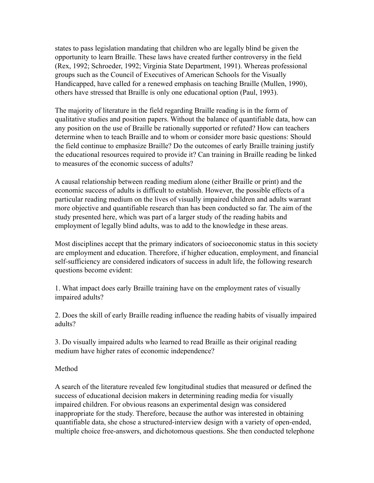states to pass legislation mandating that children who are legally blind be given the opportunity to learn Braille. These laws have created further controversy in the field (Rex, 1992; Schroeder, 1992; Virginia State Department, 1991). Whereas professional groups such as the Council of Executives of American Schools for the Visually Handicapped, have called for a renewed emphasis on teaching Braille (Mullen, 1990), others have stressed that Braille is only one educational option (Paul, 1993).

The majority of literature in the field regarding Braille reading is in the form of qualitative studies and position papers. Without the balance of quantifiable data, how can any position on the use of Braille be rationally supported or refuted? How can teachers determine when to teach Braille and to whom or consider more basic questions: Should the field continue to emphasize Braille? Do the outcomes of early Braille training justify the educational resources required to provide it? Can training in Braille reading be linked to measures of the economic success of adults?

A causal relationship between reading medium alone (either Braille or print) and the economic success of adults is difficult to establish. However, the possible effects of a particular reading medium on the lives of visually impaired children and adults warrant more objective and quantifiable research than has been conducted so far. The aim of the study presented here, which was part of a larger study of the reading habits and employment of legally blind adults, was to add to the knowledge in these areas.

Most disciplines accept that the primary indicators of socioeconomic status in this society are employment and education. Therefore, if higher education, employment, and financial self-sufficiency are considered indicators of success in adult life, the following research questions become evident:

1. What impact does early Braille training have on the employment rates of visually impaired adults?

2. Does the skill of early Braille reading influence the reading habits of visually impaired adults?

3. Do visually impaired adults who learned to read Braille as their original reading medium have higher rates of economic independence?

# Method

A search of the literature revealed few longitudinal studies that measured or defined the success of educational decision makers in determining reading media for visually impaired children. For obvious reasons an experimental design was considered inappropriate for the study. Therefore, because the author was interested in obtaining quantifiable data, she chose a structured-interview design with a variety of open-ended, multiple choice free-answers, and dichotomous questions. She then conducted telephone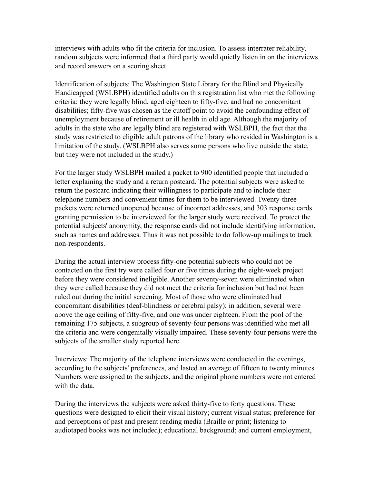interviews with adults who fit the criteria for inclusion. To assess interrater reliability, random subjects were informed that a third party would quietly listen in on the interviews and record answers on a scoring sheet.

Identification of subjects: The Washington State Library for the Blind and Physically Handicapped (WSLBPH) identified adults on this registration list who met the following criteria: they were legally blind, aged eighteen to fifty-five, and had no concomitant disabilities; fifty-five was chosen as the cutoff point to avoid the confounding effect of unemployment because of retirement or ill health in old age. Although the majority of adults in the state who are legally blind are registered with WSLBPH, the fact that the study was restricted to eligible adult patrons of the library who resided in Washington is a limitation of the study. (WSLBPH also serves some persons who live outside the state, but they were not included in the study.)

For the larger study WSLBPH mailed a packet to 900 identified people that included a letter explaining the study and a return postcard. The potential subjects were asked to return the postcard indicating their willingness to participate and to include their telephone numbers and convenient times for them to be interviewed. Twenty-three packets were returned unopened because of incorrect addresses, and 303 response cards granting permission to be interviewed for the larger study were received. To protect the potential subjects' anonymity, the response cards did not include identifying information, such as names and addresses. Thus it was not possible to do follow-up mailings to track non-respondents.

During the actual interview process fifty-one potential subjects who could not be contacted on the first try were called four or five times during the eight-week project before they were considered ineligible. Another seventy-seven were eliminated when they were called because they did not meet the criteria for inclusion but had not been ruled out during the initial screening. Most of those who were eliminated had concomitant disabilities (deaf-blindness or cerebral palsy); in addition, several were above the age ceiling of fifty-five, and one was under eighteen. From the pool of the remaining 175 subjects, a subgroup of seventy-four persons was identified who met all the criteria and were congenitally visually impaired. These seventy-four persons were the subjects of the smaller study reported here.

Interviews: The majority of the telephone interviews were conducted in the evenings, according to the subjects' preferences, and lasted an average of fifteen to twenty minutes. Numbers were assigned to the subjects, and the original phone numbers were not entered with the data.

During the interviews the subjects were asked thirty-five to forty questions. These questions were designed to elicit their visual history; current visual status; preference for and perceptions of past and present reading media (Braille or print; listening to audiotaped books was not included); educational background; and current employment,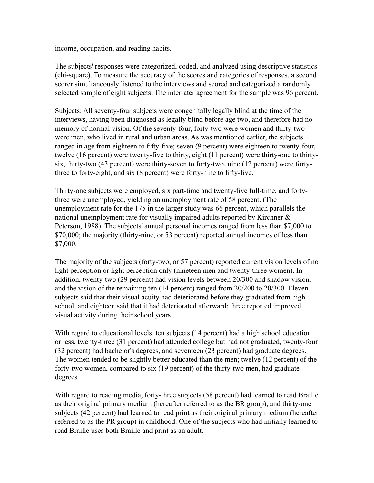income, occupation, and reading habits.

The subjects' responses were categorized, coded, and analyzed using descriptive statistics (chi-square). To measure the accuracy of the scores and categories of responses, a second scorer simultaneously listened to the interviews and scored and categorized a randomly selected sample of eight subjects. The interrater agreement for the sample was 96 percent.

Subjects: All seventy-four subjects were congenitally legally blind at the time of the interviews, having been diagnosed as legally blind before age two, and therefore had no memory of normal vision. Of the seventy-four, forty-two were women and thirty-two were men, who lived in rural and urban areas. As was mentioned earlier, the subjects ranged in age from eighteen to fifty-five; seven (9 percent) were eighteen to twenty-four, twelve (16 percent) were twenty-five to thirty, eight (11 percent) were thirty-one to thirtysix, thirty-two (43 percent) were thirty-seven to forty-two, nine (12 percent) were fortythree to forty-eight, and six (8 percent) were forty-nine to fifty-five.

Thirty-one subjects were employed, six part-time and twenty-five full-time, and fortythree were unemployed, yielding an unemployment rate of 58 percent. (The unemployment rate for the 175 in the larger study was 66 percent, which parallels the national unemployment rate for visually impaired adults reported by Kirchner & Peterson, 1988). The subjects' annual personal incomes ranged from less than \$7,000 to \$70,000; the majority (thirty-nine, or 53 percent) reported annual incomes of less than \$7,000.

The majority of the subjects (forty-two, or 57 percent) reported current vision levels of no light perception or light perception only (nineteen men and twenty-three women). In addition, twenty-two (29 percent) had vision levels between 20/300 and shadow vision, and the vision of the remaining ten (14 percent) ranged from 20/200 to 20/300. Eleven subjects said that their visual acuity had deteriorated before they graduated from high school, and eighteen said that it had deteriorated afterward; three reported improved visual activity during their school years.

With regard to educational levels, ten subjects (14 percent) had a high school education or less, twenty-three (31 percent) had attended college but had not graduated, twenty-four (32 percent) had bachelor's degrees, and seventeen (23 percent) had graduate degrees. The women tended to be slightly better educated than the men; twelve (12 percent) of the forty-two women, compared to six (19 percent) of the thirty-two men, had graduate degrees.

With regard to reading media, forty-three subjects (58 percent) had learned to read Braille as their original primary medium (hereafter referred to as the BR group), and thirty-one subjects (42 percent) had learned to read print as their original primary medium (hereafter referred to as the PR group) in childhood. One of the subjects who had initially learned to read Braille uses both Braille and print as an adult.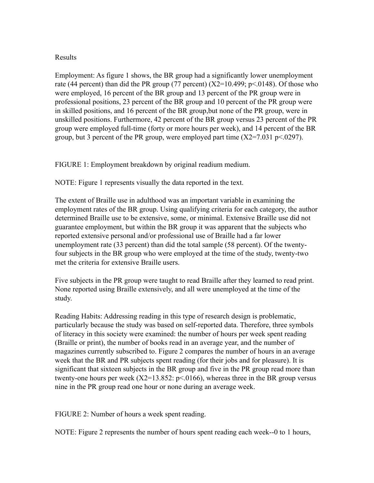### Results

Employment: As figure 1 shows, the BR group had a significantly lower unemployment rate (44 percent) than did the PR group (77 percent) ( $X2=10.499$ ;  $p<0.0148$ ). Of those who were employed, 16 percent of the BR group and 13 percent of the PR group were in professional positions, 23 percent of the BR group and 10 percent of the PR group were in skilled positions, and 16 percent of the BR group,but none of the PR group, were in unskilled positions. Furthermore, 42 percent of the BR group versus 23 percent of the PR group were employed full-time (forty or more hours per week), and 14 percent of the BR group, but 3 percent of the PR group, were employed part time  $(X2=7.031 \text{ p} < 0.0297)$ .

FIGURE 1: Employment breakdown by original readium medium.

NOTE: Figure 1 represents visually the data reported in the text.

The extent of Braille use in adulthood was an important variable in examining the employment rates of the BR group. Using qualifying criteria for each category, the author determined Braille use to be extensive, some, or minimal. Extensive Braille use did not guarantee employment, but within the BR group it was apparent that the subjects who reported extensive personal and/or professional use of Braille had a far lower unemployment rate (33 percent) than did the total sample (58 percent). Of the twentyfour subjects in the BR group who were employed at the time of the study, twenty-two met the criteria for extensive Braille users.

Five subjects in the PR group were taught to read Braille after they learned to read print. None reported using Braille extensively, and all were unemployed at the time of the study.

Reading Habits: Addressing reading in this type of research design is problematic, particularly because the study was based on self-reported data. Therefore, three symbols of literacy in this society were examined: the number of hours per week spent reading (Braille or print), the number of books read in an average year, and the number of magazines currently subscribed to. Figure 2 compares the number of hours in an average week that the BR and PR subjects spent reading (for their jobs and for pleasure). It is significant that sixteen subjects in the BR group and five in the PR group read more than twenty-one hours per week  $(X2=13.852: p<0166)$ , whereas three in the BR group versus nine in the PR group read one hour or none during an average week.

FIGURE 2: Number of hours a week spent reading.

NOTE: Figure 2 represents the number of hours spent reading each week--0 to 1 hours,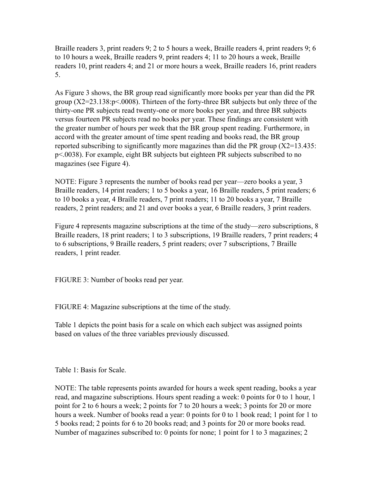Braille readers 3, print readers 9; 2 to 5 hours a week, Braille readers 4, print readers 9; 6 to 10 hours a week, Braille readers 9, print readers 4; 11 to 20 hours a week, Braille readers 10, print readers 4; and 21 or more hours a week, Braille readers 16, print readers 5.

As Figure 3 shows, the BR group read significantly more books per year than did the PR group  $(X2=23.138:ps3.0008)$ . Thirteen of the forty-three BR subjects but only three of the thirty-one PR subjects read twenty-one or more books per year, and three BR subjects versus fourteen PR subjects read no books per year. These findings are consistent with the greater number of hours per week that the BR group spent reading. Furthermore, in accord with the greater amount of time spent reading and books read, the BR group reported subscribing to significantly more magazines than did the PR group  $(X2=13.435)$ : p<.0038). For example, eight BR subjects but eighteen PR subjects subscribed to no magazines (see Figure 4).

NOTE: Figure 3 represents the number of books read per year—zero books a year, 3 Braille readers, 14 print readers; 1 to 5 books a year, 16 Braille readers, 5 print readers; 6 to 10 books a year, 4 Braille readers, 7 print readers; 11 to 20 books a year, 7 Braille readers, 2 print readers; and 21 and over books a year, 6 Braille readers, 3 print readers.

Figure 4 represents magazine subscriptions at the time of the study—zero subscriptions, 8 Braille readers, 18 print readers; 1 to 3 subscriptions, 19 Braille readers, 7 print readers; 4 to 6 subscriptions, 9 Braille readers, 5 print readers; over 7 subscriptions, 7 Braille readers, 1 print reader.

FIGURE 3: Number of books read per year.

FIGURE 4: Magazine subscriptions at the time of the study.

Table 1 depicts the point basis for a scale on which each subject was assigned points based on values of the three variables previously discussed.

Table 1: Basis for Scale.

NOTE: The table represents points awarded for hours a week spent reading, books a year read, and magazine subscriptions. Hours spent reading a week: 0 points for 0 to 1 hour, 1 point for 2 to 6 hours a week; 2 points for 7 to 20 hours a week; 3 points for 20 or more hours a week. Number of books read a year: 0 points for 0 to 1 book read; 1 point for 1 to 5 books read; 2 points for 6 to 20 books read; and 3 points for 20 or more books read. Number of magazines subscribed to: 0 points for none; 1 point for 1 to 3 magazines; 2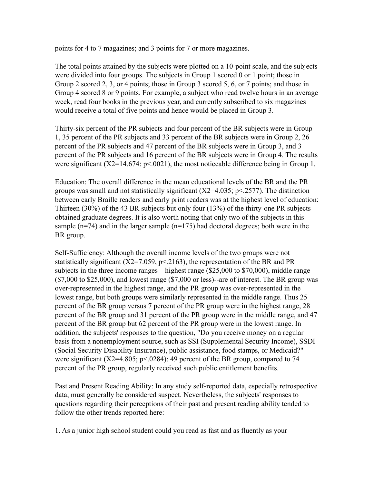points for 4 to 7 magazines; and 3 points for 7 or more magazines.

The total points attained by the subjects were plotted on a 10-point scale, and the subjects were divided into four groups. The subjects in Group 1 scored 0 or 1 point; those in Group 2 scored 2, 3, or 4 points; those in Group 3 scored 5, 6, or 7 points; and those in Group 4 scored 8 or 9 points. For example, a subject who read twelve hours in an average week, read four books in the previous year, and currently subscribed to six magazines would receive a total of five points and hence would be placed in Group 3.

Thirty-six percent of the PR subjects and four percent of the BR subjects were in Group 1, 35 percent of the PR subjects and 33 percent of the BR subjects were in Group 2, 26 percent of the PR subjects and 47 percent of the BR subjects were in Group 3, and 3 percent of the PR subjects and 16 percent of the BR subjects were in Group 4. The results were significant  $(X2=14.674: p<0.0021)$ , the most noticeable difference being in Group 1.

Education: The overall difference in the mean educational levels of the BR and the PR groups was small and not statistically significant  $(X2=4.035; p< 2577)$ . The distinction between early Braille readers and early print readers was at the highest level of education: Thirteen (30%) of the 43 BR subjects but only four (13%) of the thirty-one PR subjects obtained graduate degrees. It is also worth noting that only two of the subjects in this sample  $(n=74)$  and in the larger sample  $(n=175)$  had doctoral degrees; both were in the BR group.

Self-Sufficiency: Although the overall income levels of the two groups were not statistically significant ( $X2=7.059$ ,  $p<.2163$ ), the representation of the BR and PR subjects in the three income ranges—highest range (\$25,000 to \$70,000), middle range (\$7,000 to \$25,000), and lowest range (\$7,000 or less)--are of interest. The BR group was over-represented in the highest range, and the PR group was over-represented in the lowest range, but both groups were similarly represented in the middle range. Thus 25 percent of the BR group versus 7 percent of the PR group were in the highest range, 28 percent of the BR group and 31 percent of the PR group were in the middle range, and 47 percent of the BR group but 62 percent of the PR group were in the lowest range. In addition, the subjects' responses to the question, "Do you receive money on a regular basis from a nonemployment source, such as SSI (Supplemental Security Income), SSDI (Social Security Disability Insurance), public assistance, food stamps, or Medicaid?" were significant (X2=4.805; p < 0.0284): 49 percent of the BR group, compared to 74 percent of the PR group, regularly received such public entitlement benefits.

Past and Present Reading Ability: In any study self-reported data, especially retrospective data, must generally be considered suspect. Nevertheless, the subjects' responses to questions regarding their perceptions of their past and present reading ability tended to follow the other trends reported here:

1. As a junior high school student could you read as fast and as fluently as your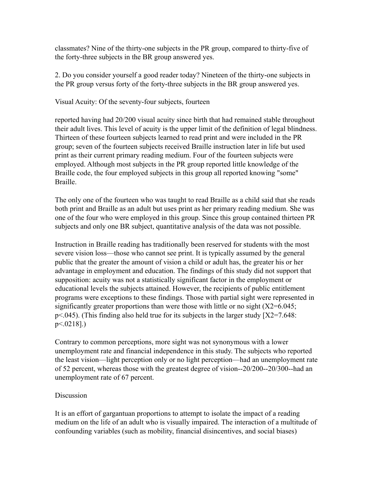classmates? Nine of the thirty-one subjects in the PR group, compared to thirty-five of the forty-three subjects in the BR group answered yes.

2. Do you consider yourself a good reader today? Nineteen of the thirty-one subjects in the PR group versus forty of the forty-three subjects in the BR group answered yes.

Visual Acuity: Of the seventy-four subjects, fourteen

reported having had 20/200 visual acuity since birth that had remained stable throughout their adult lives. This level of acuity is the upper limit of the definition of legal blindness. Thirteen of these fourteen subjects learned to read print and were included in the PR group; seven of the fourteen subjects received Braille instruction later in life but used print as their current primary reading medium. Four of the fourteen subjects were employed. Although most subjects in the PR group reported little knowledge of the Braille code, the four employed subjects in this group all reported knowing "some" Braille.

The only one of the fourteen who was taught to read Braille as a child said that she reads both print and Braille as an adult but uses print as her primary reading medium. She was one of the four who were employed in this group. Since this group contained thirteen PR subjects and only one BR subject, quantitative analysis of the data was not possible.

Instruction in Braille reading has traditionally been reserved for students with the most severe vision loss—those who cannot see print. It is typically assumed by the general public that the greater the amount of vision a child or adult has, the greater his or her advantage in employment and education. The findings of this study did not support that supposition: acuity was not a statistically significant factor in the employment or educational levels the subjects attained. However, the recipients of public entitlement programs were exceptions to these findings. Those with partial sight were represented in significantly greater proportions than were those with little or no sight  $(X2=6.045)$ ;  $p$ <.045). (This finding also held true for its subjects in the larger study  $[X2=7.648]$ : p<.0218].)

Contrary to common perceptions, more sight was not synonymous with a lower unemployment rate and financial independence in this study. The subjects who reported the least vision—light perception only or no light perception—had an unemployment rate of 52 percent, whereas those with the greatest degree of vision--20/200--20/300--had an unemployment rate of 67 percent.

# **Discussion**

It is an effort of gargantuan proportions to attempt to isolate the impact of a reading medium on the life of an adult who is visually impaired. The interaction of a multitude of confounding variables (such as mobility, financial disincentives, and social biases)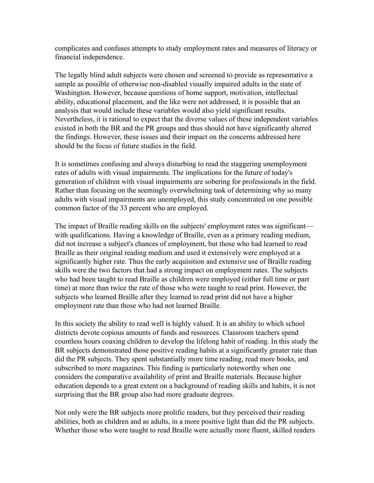complicates and confuses attempts to study employment rates and measures of literacy or financial independence.

The legally blind adult subjects were chosen and screened to provide as representative a sample as possible of otherwise non-disabled visually impaired adults in the state of Washington. However, because questions of home support, motivation, intellectual ability, educational placement, and the like were not addressed, it is possible that an analysis that would include these variables would also yield significant results. Nevertheless, it is rational to expect that the diverse values of these independent variables existed in both the BR and the PR groups and thus should not have significantly altered the findings. However, these issues and their impact on the concerns addressed here should be the focus of future studies in the field.

It is sometimes confusing and always disturbing to read the staggering unemployment rates of adults with visual impairments. The implications for the future of today's generation of children with visual impairments are sobering for professionals in the field. Rather than focusing on the seemingly overwhelming task of determining why so many adults with visual impairments are unemployed, this study concentrated on one possible common factor of the 33 percent who are employed.

The impact of Braille reading skills on the subjects' employment rates was significant with qualifications. Having a knowledge of Braille, even as a primary reading medium, did not increase a subject's chances of employment, but those who had learned to read Braille as their original reading medium and used it extensively were employed at a significantly higher rate. Thus the early acquisition and extensive use of Braille reading skills were the two factors that had a strong impact on employment rates. The subjects who had been taught to read Braille as children were employed (either full time or part time) at more than twice the rate of those who were taught to read print. However, the subjects who learned Braille after they learned to read print did not have a higher employment rate than those who had not learned Braille.

In this society the ability to read well is highly valued. It is an ability to which school districts devote copious amounts of funds and resources. Classroom teachers spend countless hours coaxing children to develop the lifelong habit of reading. In this study the BR subjects demonstrated those positive reading habits at a significantly greater rate than did the PR subjects. They spent substantially more time reading, read more books, and subscribed to more magazines. This finding is particularly noteworthy when one considers the comparative availability of print and Braille materials. Because higher education depends to a great extent on a background of reading skills and habits, it is not surprising that the BR group also had more graduate degrees.

Not only were the BR subjects more prolific readers, but they perceived their reading abilities, both as children and as adults, in a more positive light than did the PR subjects. Whether those who were taught to read Braille were actually more fluent, skilled readers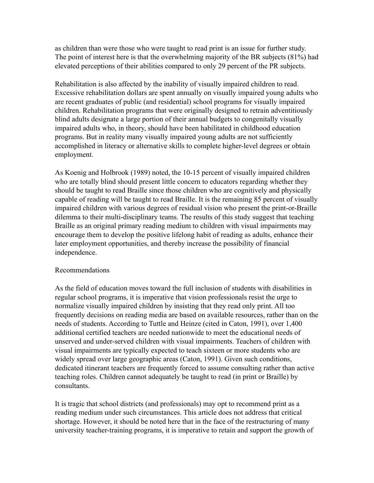as children than were those who were taught to read print is an issue for further study. The point of interest here is that the overwhelming majority of the BR subjects (81%) had elevated perceptions of their abilities compared to only 29 percent of the PR subjects.

Rehabilitation is also affected by the inability of visually impaired children to read. Excessive rehabilitation dollars are spent annually on visually impaired young adults who are recent graduates of public (and residential) school programs for visually impaired children. Rehabilitation programs that were originally designed to retrain adventitiously blind adults designate a large portion of their annual budgets to congenitally visually impaired adults who, in theory, should have been habilitated in childhood education programs. But in reality many visually impaired young adults are not sufficiently accomplished in literacy or alternative skills to complete higher-level degrees or obtain employment.

As Koenig and Holbrook (1989) noted, the 10-15 percent of visually impaired children who are totally blind should present little concern to educators regarding whether they should be taught to read Braille since those children who are cognitively and physically capable of reading will be taught to read Braille. It is the remaining 85 percent of visually impaired children with various degrees of residual vision who present the print-or-Braille dilemma to their multi-disciplinary teams. The results of this study suggest that teaching Braille as an original primary reading medium to children with visual impairments may encourage them to develop the positive lifelong habit of reading as adults, enhance their later employment opportunities, and thereby increase the possibility of financial independence.

#### Recommendations

As the field of education moves toward the full inclusion of students with disabilities in regular school programs, it is imperative that vision professionals resist the urge to normalize visually impaired children by insisting that they read only print. All too frequently decisions on reading media are based on available resources, rather than on the needs of students. According to Tuttle and Heinze (cited in Caton, 1991), over 1,400 additional certified teachers are needed nationwide to meet the educational needs of unserved and under-served children with visual impairments. Teachers of children with visual impairments are typically expected to teach sixteen or more students who are widely spread over large geographic areas (Caton, 1991). Given such conditions, dedicated itinerant teachers are frequently forced to assume consulting rather than active teaching roles. Children cannot adequately be taught to read (in print or Braille) by consultants.

It is tragic that school districts (and professionals) may opt to recommend print as a reading medium under such circumstances. This article does not address that critical shortage. However, it should be noted here that in the face of the restructuring of many university teacher-training programs, it is imperative to retain and support the growth of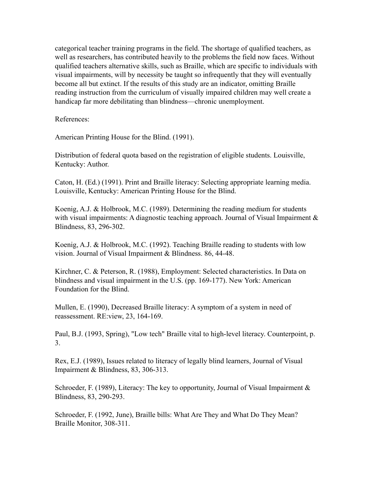categorical teacher training programs in the field. The shortage of qualified teachers, as well as researchers, has contributed heavily to the problems the field now faces. Without qualified teachers alternative skills, such as Braille, which are specific to individuals with visual impairments, will by necessity be taught so infrequently that they will eventually become all but extinct. If the results of this study are an indicator, omitting Braille reading instruction from the curriculum of visually impaired children may well create a handicap far more debilitating than blindness—chronic unemployment.

References:

American Printing House for the Blind. (1991).

Distribution of federal quota based on the registration of eligible students. Louisville, Kentucky: Author.

Caton, H. (Ed.) (1991). Print and Braille literacy: Selecting appropriate learning media. Louisville, Kentucky: American Printing House for the Blind.

Koenig, A.J. & Holbrook, M.C. (1989). Determining the reading medium for students with visual impairments: A diagnostic teaching approach. Journal of Visual Impairment  $\&$ Blindness, 83, 296-302.

Koenig, A.J. & Holbrook, M.C. (1992). Teaching Braille reading to students with low vision. Journal of Visual Impairment & Blindness. 86, 44-48.

Kirchner, C. & Peterson, R. (1988), Employment: Selected characteristics. In Data on blindness and visual impairment in the U.S. (pp. 169-177). New York: American Foundation for the Blind.

Mullen, E. (1990), Decreased Braille literacy: A symptom of a system in need of reassessment. RE:view, 23, 164-169.

Paul, B.J. (1993, Spring), "Low tech" Braille vital to high-level literacy. Counterpoint, p. 3.

Rex, E.J. (1989), Issues related to literacy of legally blind learners, Journal of Visual Impairment & Blindness, 83, 306-313.

Schroeder, F. (1989), Literacy: The key to opportunity, Journal of Visual Impairment  $\&$ Blindness, 83, 290-293.

Schroeder, F. (1992, June), Braille bills: What Are They and What Do They Mean? Braille Monitor, 308-311.